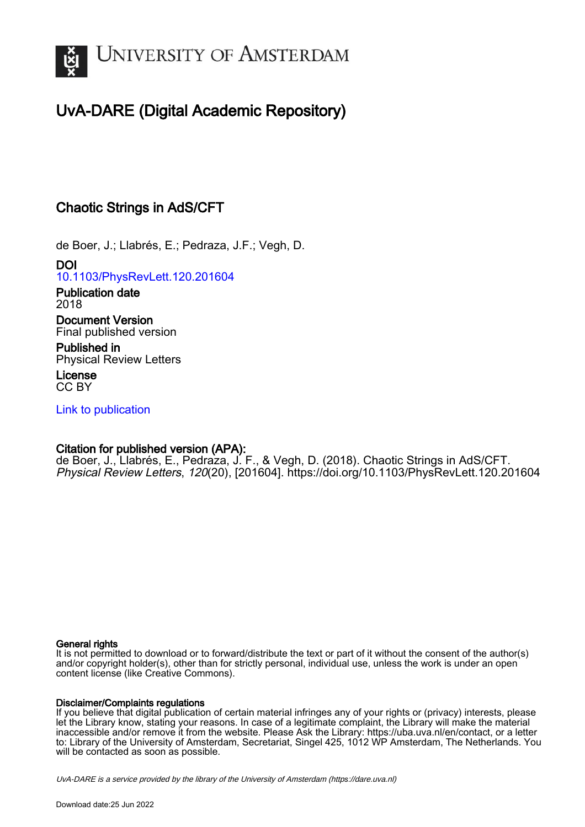

# UvA-DARE (Digital Academic Repository)

## Chaotic Strings in AdS/CFT

de Boer, J.; Llabrés, E.; Pedraza, J.F.; Vegh, D.

DOI [10.1103/PhysRevLett.120.201604](https://doi.org/10.1103/PhysRevLett.120.201604)

Publication date 2018

Document Version Final published version

Published in Physical Review Letters

License CC BY

[Link to publication](https://dare.uva.nl/personal/pure/en/publications/chaotic-strings-in-adscft(b3d30054-2d66-4d87-ba78-8d12a84f319a).html)

### Citation for published version (APA):

de Boer, J., Llabrés, E., Pedraza, J. F., & Vegh, D. (2018). Chaotic Strings in AdS/CFT. Physical Review Letters, 120(20), [201604].<https://doi.org/10.1103/PhysRevLett.120.201604>

#### General rights

It is not permitted to download or to forward/distribute the text or part of it without the consent of the author(s) and/or copyright holder(s), other than for strictly personal, individual use, unless the work is under an open content license (like Creative Commons).

#### Disclaimer/Complaints regulations

If you believe that digital publication of certain material infringes any of your rights or (privacy) interests, please let the Library know, stating your reasons. In case of a legitimate complaint, the Library will make the material inaccessible and/or remove it from the website. Please Ask the Library: https://uba.uva.nl/en/contact, or a letter to: Library of the University of Amsterdam, Secretariat, Singel 425, 1012 WP Amsterdam, The Netherlands. You will be contacted as soon as possible.

UvA-DARE is a service provided by the library of the University of Amsterdam (http*s*://dare.uva.nl)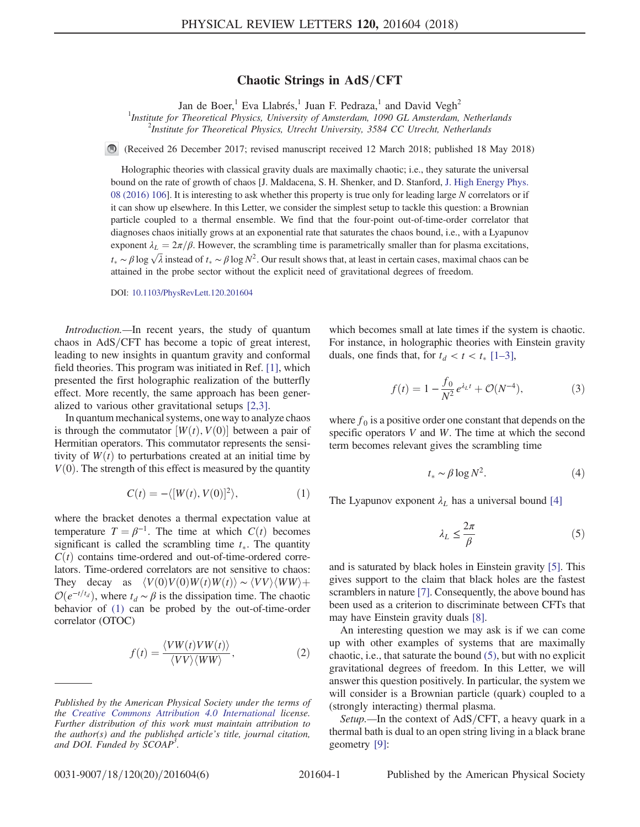#### Chaotic Strings in  $AdS/CFT$

Jan de Boer,<sup>1</sup> Eva Llabrés,<sup>1</sup> Juan F. Pedraza,<sup>1</sup> and David Vegh<sup>2</sup>

<sup>1</sup>Institute for Theoretical Physics, University of Amsterdam, 1090 GL Amsterdam, Netherlands<br><sup>2</sup>Institute for Theoretical Physics, Utracht University, 3584 CC Utracht, Netherlands <sup>2</sup>Institute for Theoretical Physics, Utrecht University, 3584 CC Utrecht, Netherlands

(Received 26 December 2017; revised manuscript received 12 March 2018; published 18 May 2018)

Holographic theories with classical gravity duals are maximally chaotic; i.e., they saturate the universal bound on the rate of growth of chaos [J. Maldacena, S. H. Shenker, and D. Stanford, [J. High Energy Phys.](https://doi.org/10.1007/JHEP08(2016)106) [08 \(2016\) 106](https://doi.org/10.1007/JHEP08(2016)106)]. It is interesting to ask whether this property is true only for leading large N correlators or if it can show up elsewhere. In this Letter, we consider the simplest setup to tackle this question: a Brownian particle coupled to a thermal ensemble. We find that the four-point out-of-time-order correlator that diagnoses chaos initially grows at an exponential rate that saturates the chaos bound, i.e., with a Lyapunov exponent  $\lambda_L = 2\pi/\beta$ . However, the scrambling time is parametrically smaller than for plasma excitations,  $t_* \sim \beta \log \sqrt{\lambda}$  instead of  $t_* \sim \beta \log N^2$ . Our result shows that, at least in certain cases, maximal chaos can be<br>ottoined in the probe sector without the explicit peed of gravitational degrees of freedom attained in the probe sector without the explicit need of gravitational degrees of freedom.

DOI: [10.1103/PhysRevLett.120.201604](https://doi.org/10.1103/PhysRevLett.120.201604)

Introduction.—In recent years, the study of quantum chaos in  $AdS/CFT$  has become a topic of great interest, leading to new insights in quantum gravity and conformal field theories. This program was initiated in Ref. [\[1\],](#page-6-0) which presented the first holographic realization of the butterfly effect. More recently, the same approach has been generalized to various other gravitational setups [\[2,3\]](#page-6-1).

<span id="page-1-0"></span>In quantum mechanical systems, one way to analyze chaos is through the commutator  $[W(t), V(0)]$  between a pair of Hermitian operators. This commutator represents the sensitivity of  $W(t)$  to perturbations created at an initial time by  $V(0)$ . The strength of this effect is measured by the quantity

$$
C(t) = -\langle [W(t), V(0)]^2 \rangle, \qquad (1)
$$

where the bracket denotes a thermal expectation value at temperature  $T = \beta^{-1}$ . The time at which  $C(t)$  becomes significant is called the scrambling time  $t_*$ . The quantity  $C(t)$  contains time ordered out of time ordered corre  $C(t)$  contains time-ordered and out-of-time-ordered correlators. Time-ordered correlators are not sensitive to chaos: They decay as  $\langle V(0)V(0)W(t)W(t)\rangle \sim \langle VV\rangle \langle WW\rangle +$  $\mathcal{O}(e^{-t/t_d})$ , where  $t_d \sim \beta$  is the dissipation time. The chaotic behavior of [\(1\)](#page-1-0) can be probed by the out-of-time-order correlator (OTOC)

<span id="page-1-2"></span>
$$
f(t) = \frac{\langle VW(t)VW(t) \rangle}{\langle VV \rangle \langle WW \rangle}, \tag{2}
$$

<span id="page-1-3"></span>which becomes small at late times if the system is chaotic. For instance, in holographic theories with Einstein gravity duals, one finds that, for  $t_d < t < t_*$  [1–[3\],](#page-6-0)

$$
f(t) = 1 - \frac{f_0}{N^2} e^{\lambda_L t} + \mathcal{O}(N^{-4}),
$$
 (3)

where  $f_0$  is a positive order one constant that depends on the specific operators V and W. The time at which the second term becomes relevant gives the scrambling time

$$
t_* \sim \beta \log N^2. \tag{4}
$$

<span id="page-1-1"></span>The Lyapunov exponent  $\lambda_L$  has a universal bound [\[4\]](#page-6-2)

$$
\lambda_L \le \frac{2\pi}{\beta} \tag{5}
$$

and is saturated by black holes in Einstein gravity [\[5\]](#page-6-3). This gives support to the claim that black holes are the fastest scramblers in nature [\[7\]](#page-6-4). Consequently, the above bound has been used as a criterion to discriminate between CFTs that may have Einstein gravity duals [\[8\].](#page-6-5)

An interesting question we may ask is if we can come up with other examples of systems that are maximally chaotic, i.e., that saturate the bound [\(5\)](#page-1-1), but with no explicit gravitational degrees of freedom. In this Letter, we will answer this question positively. In particular, the system we will consider is a Brownian particle (quark) coupled to a (strongly interacting) thermal plasma.

<span id="page-1-4"></span>Setup.—In the context of  $AdS/CFT$ , a heavy quark in a thermal bath is dual to an open string living in a black brane geometry [\[9\]:](#page-6-6)

Published by the American Physical Society under the terms of the [Creative Commons Attribution 4.0 International](https://creativecommons.org/licenses/by/4.0/) license. Further distribution of this work must maintain attribution to the author(s) and the published article's title, journal citation, and DOI. Funded by SCOAP<sup>3</sup>.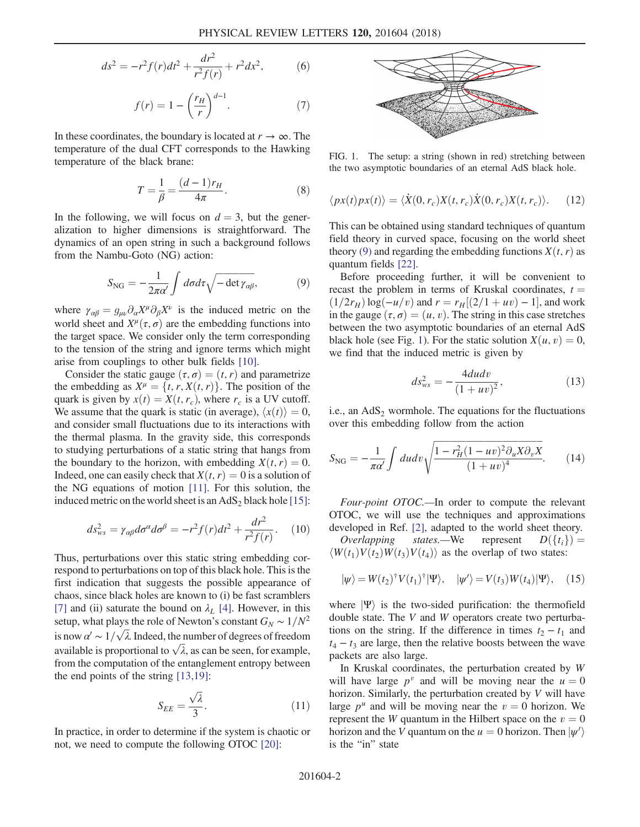$$
ds^{2} = -r^{2} f(r) dt^{2} + \frac{dr^{2}}{r^{2} f(r)} + r^{2} dx^{2},
$$
 (6)

$$
f(r) = 1 - \left(\frac{r_H}{r}\right)^{d-1}.\tag{7}
$$

In these coordinates, the boundary is located at  $r \to \infty$ . The temperature of the dual CFT corresponds to the Hawking temperature of the black brane:

$$
T = \frac{1}{\beta} = \frac{(d-1)r_H}{4\pi}.
$$
 (8)

<span id="page-2-0"></span>In the following, we will focus on  $d = 3$ , but the generalization to higher dimensions is straightforward. The dynamics of an open string in such a background follows from the Nambu-Goto (NG) action:

$$
S_{\rm NG} = -\frac{1}{2\pi\alpha'} \int d\sigma d\tau \sqrt{-\det \gamma_{\alpha\beta}},\tag{9}
$$

where  $\gamma_{\alpha\beta} = g_{\mu\nu} \partial_{\alpha} X^{\mu} \partial_{\beta} X^{\nu}$  is the induced metric on the world sheet and  $X^{\mu}(\tau, \sigma)$  are the embedding functions into the target space. We consider only the term corresponding to the tension of the string and ignore terms which might arise from couplings to other bulk fields [\[10\].](#page-6-7)

Consider the static gauge  $(\tau, \sigma) = (t, r)$  and parametrize the embedding as  $X^{\mu} = \{t, r, X(t, r)\}\.$  The position of the quark is given by  $x(t) = X(t, r_c)$ , where  $r_c$  is a UV cutoff. We assume that the quark is static (in average),  $\langle x(t) \rangle = 0$ , and consider small fluctuations due to its interactions with the thermal plasma. In the gravity side, this corresponds to studying perturbations of a static string that hangs from the boundary to the horizon, with embedding  $X(t, r) = 0$ . Indeed, one can easily check that  $X(t, r) = 0$  is a solution of the NG equations of motion [\[11\].](#page-6-8) For this solution, the induced metric on the world sheet is an  $AdS_2$  black hole [\[15\]](#page-6-9):

<span id="page-2-5"></span>
$$
ds_{ws}^2 = \gamma_{\alpha\beta} d\sigma^{\alpha} d\sigma^{\beta} = -r^2 f(r) dt^2 + \frac{dr^2}{r^2 f(r)}.
$$
 (10)

Thus, perturbations over this static string embedding correspond to perturbations on top of this black hole. This is the first indication that suggests the possible appearance of chaos, since black holes are known to (i) be fast scramblers [\[7\]](#page-6-4) and (ii) saturate the bound on  $\lambda_L$  [\[4\].](#page-6-2) However, in this setup, what plays the role of Newton's constant  $G_N \sim 1/N^2$ is now  $\alpha' \sim 1/\sqrt{\lambda}$ . Indeed, the number of degrees of freedom available is proportional to  $\sqrt{\lambda}$ , as can be seen, for example, from the computation of the entanglement entropy between the end points of the string [\[13,19\]](#page-6-10):

$$
S_{EE} = \frac{\sqrt{\lambda}}{3}.
$$
 (11)

<span id="page-2-6"></span><span id="page-2-4"></span>In practice, in order to determine if the system is chaotic or not, we need to compute the following OTOC [\[20\]:](#page-6-11)

<span id="page-2-1"></span>

FIG. 1. The setup: a string (shown in red) stretching between the two asymptotic boundaries of an eternal AdS black hole.

$$
\langle px(t)px(t)\rangle = \langle \dot{X}(0,r_c)X(t,r_c)\dot{X}(0,r_c)X(t,r_c)\rangle. \tag{12}
$$

This can be obtained using standard techniques of quantum field theory in curved space, focusing on the world sheet theory [\(9\)](#page-2-0) and regarding the embedding functions  $X(t, r)$  as quantum fields [\[22\].](#page-6-12)

Before proceeding further, it will be convenient to recast the problem in terms of Kruskal coordinates,  $t =$  $(1/2r_H)\log(-u/v)$  and  $r = r_H[(2/1 + uv) - 1]$ , and work in the gauge  $(\tau, \sigma) = (u, v)$ . The string in this case stretches between the two asymptotic boundaries of an eternal AdS black hole (see Fig. [1](#page-2-1)). For the static solution  $X(u, v) = 0$ , we find that the induced metric is given by

$$
ds_{ws}^2 = -\frac{4dudv}{(1+uv)^2},
$$
\n(13)

<span id="page-2-2"></span>i.e., an  $AdS<sub>2</sub>$  wormhole. The equations for the fluctuations over this embedding follow from the action

$$
S_{\rm NG} = -\frac{1}{\pi \alpha'} \int du dv \sqrt{\frac{1 - r_H^2 (1 - uv)^2 \partial_u X \partial_v X}{(1 + uv)^4}}.
$$
 (14)

Four-point OTOC.—In order to compute the relevant OTOC, we will use the techniques and approximations developed in Ref. [\[2\]](#page-6-1), adapted to the world sheet theory.

*Overlapping* states.—We represent  $D({t_i}) =$ <br> $D(t_1)V(t_2)V(t_3)V(t_4)$  as the overlap of two states:  $\langle W(t_1)V(t_2)W(t_3)V(t_4)\rangle$  as the overlap of two states:

$$
|\psi\rangle = W(t_2)^{\dagger} V(t_1)^{\dagger} |\Psi\rangle, \quad |\psi'\rangle = V(t_3) W(t_4) |\Psi\rangle, \quad (15)
$$

where  $|\Psi\rangle$  is the two-sided purification: the thermofield double state. The V and W operators create two perturbations on the string. If the difference in times  $t_2 - t_1$  and  $t_4 - t_3$  are large, then the relative boosts between the wave packets are also large.

<span id="page-2-3"></span>In Kruskal coordinates, the perturbation created by W will have large  $p^v$  and will be moving near the  $u = 0$ horizon. Similarly, the perturbation created by V will have large  $p^u$  and will be moving near the  $v = 0$  horizon. We represent the W quantum in the Hilbert space on the  $v = 0$ horizon and the V quantum on the  $u = 0$  horizon. Then  $|\psi'\rangle$  $\overline{a}$ is the "in" state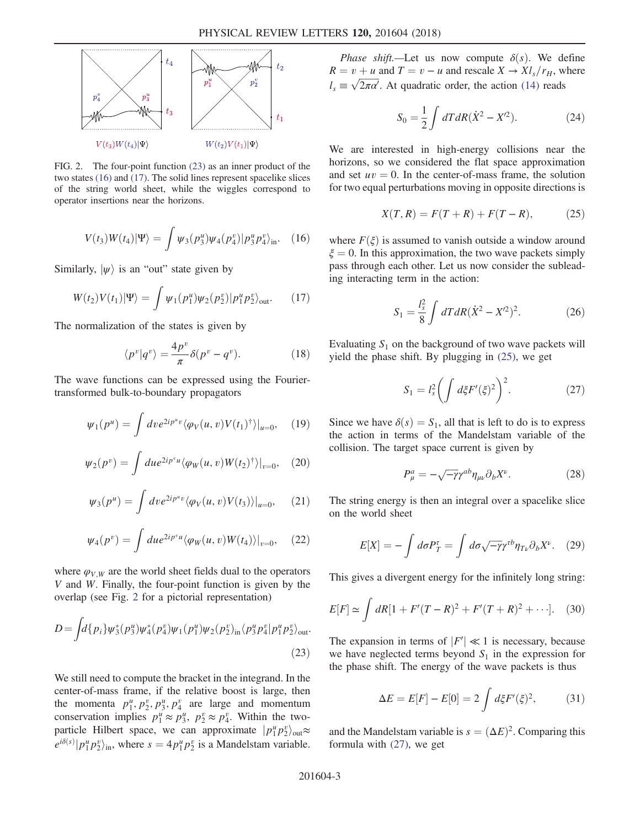<span id="page-3-0"></span>

FIG. 2. The four-point function [\(23\)](#page-3-3) as an inner product of the two states [\(16\)](#page-2-3) and [\(17\).](#page-3-4) The solid lines represent spacelike slices of the string world sheet, while the wiggles correspond to operator insertions near the horizons.

$$
V(t_3)W(t_4)|\Psi\rangle = \int \psi_3(p_3^u)\psi_4(p_4^v)|p_3^u p_4^v\rangle_{\text{in}}.\quad(16)
$$

<span id="page-3-4"></span>Similarly,  $|\psi\rangle$  is an "out" state given by

$$
W(t_2)V(t_1)|\Psi\rangle = \int \psi_1(p_1^u)\psi_2(p_2^v)|p_1^u p_2^v\rangle_{\text{out}}.\tag{17}
$$

The normalization of the states is given by

$$
\langle p^v | q^v \rangle = \frac{4p^v}{\pi} \delta(p^v - q^v). \tag{18}
$$

<span id="page-3-6"></span>The wave functions can be expressed using the Fouriertransformed bulk-to-boundary propagators

$$
\psi_1(p^u) = \int dv e^{2ip^u v} \langle \varphi_V(u, v) V(t_1)^\dagger \rangle |_{u=0}, \quad (19)
$$

$$
\psi_2(p^v) = \int du e^{2ip^v u} \langle \varphi_W(u, v) W(t_2)^\dagger \rangle|_{v=0}, \quad (20)
$$

$$
\psi_3(p^u) = \int dv e^{2ip^u v} \langle \varphi_V(u, v) V(t_3) \rangle |_{u=0}, \quad (21)
$$

<span id="page-3-7"></span>
$$
\psi_4(p^v) = \int du e^{2ip^v u} \langle \varphi_W(u, v) W(t_4) \rangle |_{v=0}, \quad (22)
$$

<span id="page-3-3"></span>where  $\varphi_{V,W}$  are the world sheet fields dual to the operators V and W. Finally, the four-point function is given by the overlap (see Fig. [2](#page-3-0) for a pictorial representation)

$$
D = \int d\{p_i\} \psi_3^*(p_3^u) \psi_4^*(p_4^v) \psi_1(p_1^u) \psi_2(p_2^v)_{\text{in}} \langle p_3^u p_4^v | p_1^u p_2^v \rangle_{\text{out}}.
$$
\n(23)

We still need to compute the bracket in the integrand. In the center-of-mass frame, if the relative boost is large, then the momenta  $p_1^u, p_2^v, p_3^u, p_4^v$  are large and momentum conservation implies  $p_1^u \approx p_3^u$ ,  $p_2^v \approx p_4^v$ . Within the twoparticle Hilbert space, we can approximate  $|p_1^{\mu} p_2^{\nu}\rangle_{\text{out}} \approx$  $e^{i\delta(s)}|p_1^{\mu}p_2^{\nu}\rangle_{\text{in}}$ , where  $s = 4p_1^{\mu}p_2^{\nu}$  is a Mandelstam variable.

Phase shift.—Let us now compute  $\delta(s)$ . We define  $R = v + u$  and  $T = v - u$  and rescale  $X \rightarrow Xl_s/r_H$ , where  $l_s \equiv \sqrt{2\pi\alpha'}$ . At quadratic order, the action [\(14\)](#page-2-2) reads

$$
S_0 = \frac{1}{2} \int dT dR (\dot{X}^2 - X^2).
$$
 (24)

<span id="page-3-1"></span>We are interested in high-energy collisions near the horizons, so we considered the flat space approximation and set  $uv = 0$ . In the center-of-mass frame, the solution for two equal perturbations moving in opposite directions is

$$
X(T,R) = F(T + R) + F(T - R),
$$
 (25)

where  $F(\xi)$  is assumed to vanish outside a window around  $\xi = 0$ . In this approximation, the two wave packets simply pass through each other. Let us now consider the subleading interacting term in the action:

$$
S_1 = \frac{l_s^2}{8} \int dT dR (\dot{X}^2 - X^2)^2.
$$
 (26)

<span id="page-3-2"></span>Evaluating  $S_1$  on the background of two wave packets will yield the phase shift. By plugging in [\(25\)](#page-3-1), we get

$$
S_1 = l_s^2 \left( \int d\xi F'(\xi)^2 \right)^2. \tag{27}
$$

Since we have  $\delta(s) = S_1$ , all that is left to do is to express the action in terms of the Mandelstam variable of the collision. The target space current is given by

$$
P_{\mu}^{a} = -\sqrt{-\gamma} \gamma^{ab} \eta_{\mu\nu} \partial_{b} X^{\nu}.
$$
 (28)

The string energy is then an integral over a spacelike slice on the world sheet

$$
E[X] = -\int d\sigma P_T^{\tau} = \int d\sigma \sqrt{-\gamma} \gamma^{\tau b} \eta_{T\nu} \partial_b X^{\nu}.
$$
 (29)

This gives a divergent energy for the infinitely long string:

$$
E[F] \simeq \int dR[1 + F'(T - R)^2 + F'(T + R)^2 + \cdots]. \tag{30}
$$

The expansion in terms of  $|F'| \ll 1$  is necessary, because<br>we have neglected terms beyond S, in the expression for we have neglected terms beyond  $S_1$  in the expression for the phase shift. The energy of the wave packets is thus

$$
\Delta E = E[F] - E[0] = 2 \int d\xi F'(\xi)^2, \tag{31}
$$

<span id="page-3-5"></span>and the Mandelstam variable is  $s = (\Delta E)^2$ . Comparing this formula with [\(27\),](#page-3-2) we get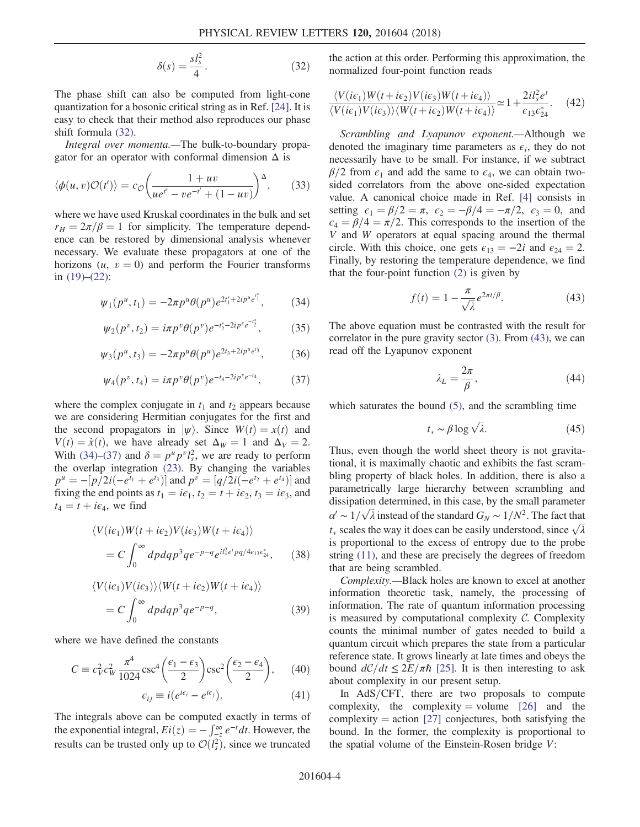$$
\delta(s) = \frac{s l_s^2}{4}.\tag{32}
$$

The phase shift can also be computed from light-cone quantization for a bosonic critical string as in Ref. [\[24\].](#page-6-13) It is easy to check that their method also reproduces our phase shift formula [\(32\).](#page-3-5)

Integral over momenta.—The bulk-to-boundary propagator for an operator with conformal dimension  $\Delta$  is

$$
\langle \phi(u,v)\mathcal{O}(t')\rangle = c_{\mathcal{O}}\bigg(\frac{1+uv}{ue^{t'}-ve^{-t'}+(1-uv)}\bigg)^{\Delta},\qquad(33)
$$

where we have used Kruskal coordinates in the bulk and set  $r_H = 2\pi/\beta = 1$  for simplicity. The temperature dependence can be restored by dimensional analysis whenever necessary. We evaluate these propagators at one of the horizons  $(u, v = 0)$  and perform the Fourier transforms in  $(19)–(22)$  $(19)–(22)$ :

<span id="page-4-0"></span>
$$
\psi_1(p^u, t_1) = -2\pi p^u \theta(p^u) e^{2t_1^* + 2ip^u e^{t_1^*}}, \tag{34}
$$

$$
\psi_2(p^v, t_2) = i\pi p^v \theta(p^v) e^{-t_2^* - 2i p^v e^{-t_2^*}}, \tag{35}
$$

$$
\psi_3(p^u, t_3) = -2\pi p^u \theta(p^u) e^{2t_3 + 2ip^u e^{t_3}}, \qquad (36)
$$

$$
\psi_4(p^v, t_4) = i\pi p^v \theta(p^v) e^{-t_4 - 2ip^v e^{-t_4}}, \tag{37}
$$

<span id="page-4-1"></span>where the complex conjugate in  $t_1$  and  $t_2$  appears because we are considering Hermitian conjugates for the first and the second propagators in  $|\psi\rangle$ . Since  $W(t) = x(t)$  and  $V(t) = \dot{x}(t)$ , we have already set  $\Delta_W = 1$  and  $\Delta_V = 2$ . With [\(34\)](#page-4-0)–[\(37\)](#page-4-1) and  $\delta = p^{\mu} p^{\nu} l_s^2$ , we are ready to perform<br>the overlap integration (23). By changing the variables the overlap integration [\(23\)](#page-3-3). By changing the variables  $p^u = -[p/2i(-e^{t_1} + e^{t_3})]$  and  $p^v = [q/2i(-e^{t_2} + e^{t_4})]$  and fixing the end points as  $t_1 = i\epsilon_1$ ,  $t_2 = t + i\epsilon_2$ ,  $t_3 = i\epsilon_3$ , and  $t_4 = t + i\epsilon_4$ , we find

$$
\langle V(ie_1)W(t+ie_2)V(ie_3)W(t+ie_4)\rangle
$$
  
=  $C \int_0^\infty dp dq p^3 q e^{-p-q} e^{i l_s^2 e^t p q/4 \epsilon_{13} e_{24}^*}$ , (38)

$$
\langle V(ie_1)V(ie_3)\rangle \langle W(t+ie_2)W(t+ie_4)\rangle
$$
  
=  $C \int_0^\infty dp dq p^3 q e^{-p-q}$ , (39)

where we have defined the constants

$$
C \equiv c_V^2 c_W^2 \frac{\pi^4}{1024} \csc^4 \left( \frac{\epsilon_1 - \epsilon_3}{2} \right) \csc^2 \left( \frac{\epsilon_2 - \epsilon_4}{2} \right), \quad (40)
$$

$$
\epsilon_{ij} \equiv i(e^{i\epsilon_i} - e^{i\epsilon_j}). \tag{41}
$$

The integrals above can be computed exactly in terms of the exponential integral,  $Ei(z) = -\int_{-z}^{\infty} e^{-t} dt$ . However, the results can be trusted only up to  $O(L^2)$  gines we truncated results can be trusted only up to  $\mathcal{O}(l_s^2)$ , since we truncated the action at this order. Performing this approximation, the normalized four-point function reads

$$
\frac{\langle V(i\epsilon_1)W(t+i\epsilon_2)V(i\epsilon_3)W(t+i\epsilon_4)\rangle}{\langle V(i\epsilon_1)V(i\epsilon_3)\rangle\langle W(t+i\epsilon_2)W(t+i\epsilon_4)\rangle} \simeq 1 + \frac{2il_s^2e^t}{\epsilon_{13}\epsilon_{24}^*}.
$$
 (42)

Scrambling and Lyapunov exponent.—Although we denoted the imaginary time parameters as  $\epsilon_i$ , they do not necessarily have to be small. For instance, if we subtract  $\beta/2$  from  $\epsilon_1$  and add the same to  $\epsilon_4$ , we can obtain twosided correlators from the above one-sided expectation value. A canonical choice made in Ref. [\[4\]](#page-6-2) consists in setting  $\epsilon_1 = \frac{\beta}{2} = \pi$ ,  $\epsilon_2 = \frac{-\beta}{4} = -\frac{\pi}{2}$ ,  $\epsilon_3 = 0$ , and  $\epsilon_4 = \frac{\beta}{4} = \frac{\pi}{2}$ . This corresponds to the insertion of the V and W operators at equal spacing around the thermal circle. With this choice, one gets  $\epsilon_{13} = -2i$  and  $\epsilon_{24} = 2$ . Finally, by restoring the temperature dependence, we find that the four-point function [\(2\)](#page-1-2) is given by

$$
f(t) = 1 - \frac{\pi}{\sqrt{\lambda}} e^{2\pi t/\beta}.
$$
 (43)

<span id="page-4-2"></span>The above equation must be contrasted with the result for correlator in the pure gravity sector [\(3\)](#page-1-3). From [\(43\)](#page-4-2), we can read off the Lyapunov exponent

$$
\lambda_L = \frac{2\pi}{\beta},\tag{44}
$$

which saturates the bound  $(5)$ , and the scrambling time

$$
t_* \sim \beta \log \sqrt{\lambda}.\tag{45}
$$

Thus, even though the world sheet theory is not gravitational, it is maximally chaotic and exhibits the fast scrambling property of black holes. In addition, there is also a parametrically large hierarchy between scrambling and dissipation determined, in this case, by the small parameter  $\alpha' \sim 1/\sqrt{\lambda}$  instead of the standard  $G_N \sim 1/N^2$ . The fact that  $t_{\ast}$  scales the way it does can be easily understood, since  $\sqrt{\lambda}$ is proportional to the excess of entropy due to the probe string [\(11\),](#page-2-4) and these are precisely the degrees of freedom that are being scrambled.

Complexity.—Black holes are known to excel at another information theoretic task, namely, the processing of information. The rate of quantum information processing is measured by computational complexity  $C$ . Complexity counts the minimal number of gates needed to build a quantum circuit which prepares the state from a particular reference state. It grows linearly at late times and obeys the bound  $dC/dt \leq 2E/\pi\hbar$  [\[25\].](#page-6-14) It is then interesting to ask about complexity in our present setup.

In  $AdS/CFT$ , there are two proposals to compute complexity, the complexity = volume  $[26]$  and the complexity  $=$  action [\[27\]](#page-6-16) conjectures, both satisfying the bound. In the former, the complexity is proportional to the spatial volume of the Einstein-Rosen bridge V: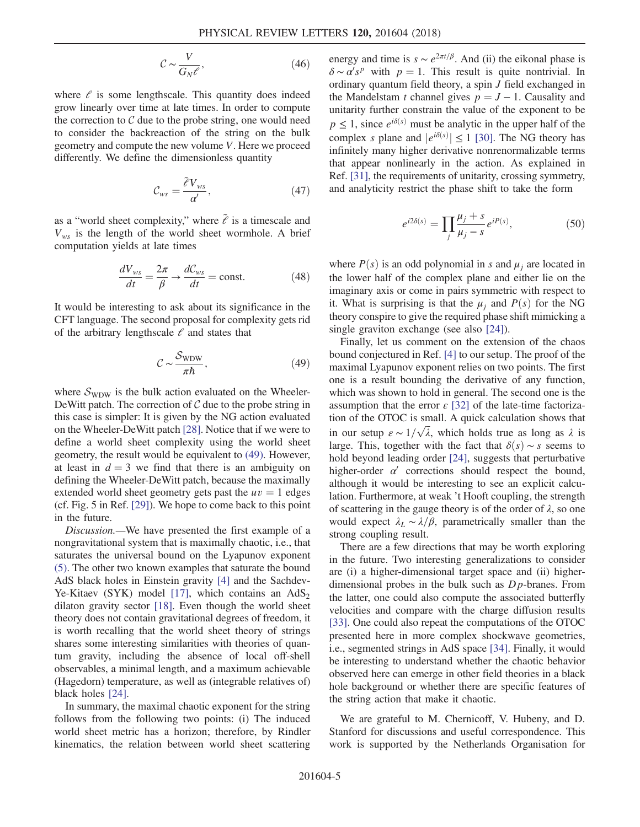$$
\mathcal{C} \sim \frac{V}{G_N \ell},\tag{46}
$$

where  $\ell$  is some lengthscale. This quantity does indeed grow linearly over time at late times. In order to compute the correction to  $C$  due to the probe string, one would need to consider the backreaction of the string on the bulk geometry and compute the new volume V. Here we proceed differently. We define the dimensionless quantity

$$
\mathcal{C}_{ws} = \frac{\tilde{\mathcal{E}} V_{ws}}{\alpha'},\tag{47}
$$

as a "world sheet complexity," where  $\tilde{e}$  is a timescale and  $V_{ws}$  is the length of the world sheet wormhole. A brief computation yields at late times

$$
\frac{dV_{ws}}{dt} = \frac{2\pi}{\beta} \to \frac{dC_{ws}}{dt} = \text{const.}
$$
 (48)

<span id="page-5-0"></span>It would be interesting to ask about its significance in the CFT language. The second proposal for complexity gets rid of the arbitrary lengthscale  $\ell$  and states that

$$
C \sim \frac{S_{\text{WDW}}}{\pi \hbar},\tag{49}
$$

where  $S_{\text{WDW}}$  is the bulk action evaluated on the Wheeler-DeWitt patch. The correction of  $\mathcal C$  due to the probe string in this case is simpler: It is given by the NG action evaluated on the Wheeler-DeWitt patch [\[28\]](#page-6-17). Notice that if we were to define a world sheet complexity using the world sheet geometry, the result would be equivalent to [\(49\).](#page-5-0) However, at least in  $d = 3$  we find that there is an ambiguity on defining the Wheeler-DeWitt patch, because the maximally extended world sheet geometry gets past the  $uv = 1$  edges (cf. Fig. 5 in Ref. [\[29\]\)](#page-6-18). We hope to come back to this point in the future.

Discussion.—We have presented the first example of a nongravitational system that is maximally chaotic, i.e., that saturates the universal bound on the Lyapunov exponent [\(5\)](#page-1-1). The other two known examples that saturate the bound AdS black holes in Einstein gravity [\[4\]](#page-6-2) and the Sachdev-Ye-Kitaev (SYK) model [\[17\],](#page-6-19) which contains an  $AdS_2$ dilaton gravity sector [\[18\].](#page-6-20) Even though the world sheet theory does not contain gravitational degrees of freedom, it is worth recalling that the world sheet theory of strings shares some interesting similarities with theories of quantum gravity, including the absence of local off-shell observables, a minimal length, and a maximum achievable (Hagedorn) temperature, as well as (integrable relatives of) black holes [\[24\]](#page-6-13).

In summary, the maximal chaotic exponent for the string follows from the following two points: (i) The induced world sheet metric has a horizon; therefore, by Rindler kinematics, the relation between world sheet scattering energy and time is  $s \sim e^{2\pi t/\beta}$ . And (ii) the eikonal phase is  $\delta \sim \alpha' s^p$  with  $p = 1$ . This result is quite nontrivial. In ordinary quantum field theory a spin *I* field exchanged in ordinary quantum field theory, a spin J field exchanged in the Mandelstam t channel gives  $p = J - 1$ . Causality and unitarity further constrain the value of the exponent to be  $p \le 1$ , since  $e^{i\delta(s)}$  must be analytic in the upper half of the complex s plane and  $|e^{i\delta(s)}| \le 1$  [\[30\].](#page-6-21) The NG theory has<br>infinitely many higher derivative nonrenormalizable terms infinitely many higher derivative nonrenormalizable terms that appear nonlinearly in the action. As explained in Ref. [\[31\]](#page-6-22), the requirements of unitarity, crossing symmetry, and analyticity restrict the phase shift to take the form

$$
e^{i2\delta(s)} = \prod_{j} \frac{\mu_j + s}{\mu_j - s} e^{iP(s)},
$$
 (50)

where  $P(s)$  is an odd polynomial in s and  $\mu_i$  are located in the lower half of the complex plane and either lie on the imaginary axis or come in pairs symmetric with respect to it. What is surprising is that the  $\mu_i$  and  $P(s)$  for the NG theory conspire to give the required phase shift mimicking a single graviton exchange (see also [\[24\]](#page-6-13)).

Finally, let us comment on the extension of the chaos bound conjectured in Ref. [\[4\]](#page-6-2) to our setup. The proof of the maximal Lyapunov exponent relies on two points. The first one is a result bounding the derivative of any function, which was shown to hold in general. The second one is the assumption that the error  $\varepsilon$  [\[32\]](#page-6-23) of the late-time factorization of the OTOC is small. A quick calculation shows that in our setup  $\varepsilon \sim 1/\sqrt{\lambda}$ , which holds true as long as  $\lambda$  is large. This, together with the fact that  $\delta(s) \sim s$  seems to hold beyond leading order [\[24\]](#page-6-13), suggests that perturbative higher-order  $\alpha'$  corrections should respect the bound, although it would be interesting to see an explicit calculation. Furthermore, at weak 't Hooft coupling, the strength of scattering in the gauge theory is of the order of  $\lambda$ , so one would expect  $\lambda_L \sim \lambda/\beta$ , parametrically smaller than the strong coupling result.

There are a few directions that may be worth exploring in the future. Two interesting generalizations to consider are (i) a higher-dimensional target space and (ii) higherdimensional probes in the bulk such as  $Dp$ -branes. From the latter, one could also compute the associated butterfly velocities and compare with the charge diffusion results [\[33\]](#page-6-24). One could also repeat the computations of the OTOC presented here in more complex shockwave geometries, i.e., segmented strings in AdS space [\[34\].](#page-6-25) Finally, it would be interesting to understand whether the chaotic behavior observed here can emerge in other field theories in a black hole background or whether there are specific features of the string action that make it chaotic.

We are grateful to M. Chernicoff, V. Hubeny, and D. Stanford for discussions and useful correspondence. This work is supported by the Netherlands Organisation for